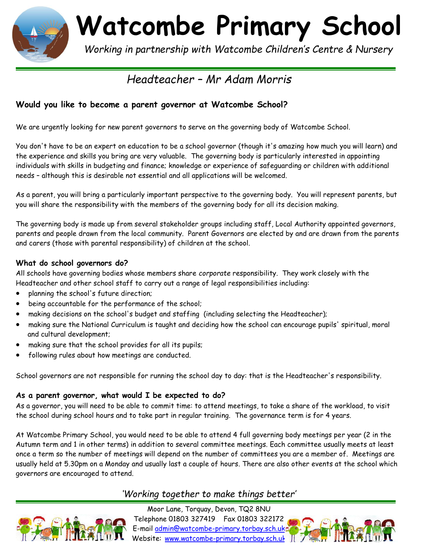

**Watcombe Primary School**

 *Working in partnership with Watcombe Children's Centre & Nursery*

# *Headteacher – Mr Adam Morris*

## **Would you like to become a parent governor at Watcombe School?**

We are urgently looking for new parent governors to serve on the governing body of Watcombe School.

You don't have to be an expert on education to be a school governor (though it's amazing how much you will learn) and the experience and skills you bring are very valuable. The governing body is particularly interested in appointing individuals with skills in budgeting and finance; knowledge or experience of safeguarding or children with additional needs – although this is desirable not essential and all applications will be welcomed.

As a parent, you will bring a particularly important perspective to the governing body. You will represent parents, but you will share the responsibility with the members of the governing body for all its decision making.

The governing body is made up from several stakeholder groups including staff, Local Authority appointed governors, parents and people drawn from the local community. Parent Governors are elected by and are drawn from the parents and carers (those with parental responsibility) of children at the school.

#### **What do school governors do?**

All schools have governing bodies whose members share *corporate* responsibility. They work closely with the Headteacher and other school staff to carry out a range of legal responsibilities including:

- planning the school's future direction;
- being accountable for the performance of the school;
- making decisions on the school's budget and staffing (including selecting the Headteacher);
- making sure the National Curriculum is taught and deciding how the school can encourage pupils' spiritual, moral and cultural development;
- making sure that the school provides for all its pupils;
- following rules about how meetings are conducted.

School governors are not responsible for running the school day to day: that is the Headteacher's responsibility.

### **As a parent governor, what would I be expected to do?**

As a governor, you will need to be able to commit time: to attend meetings, to take a share of the workload, to visit the school during school hours and to take part in regular training. The governance term is for 4 years.

At Watcombe Primary School, you would need to be able to attend 4 full governing body meetings per year (2 in the Autumn term and 1 in other terms) in addition to several committee meetings. Each committee usually meets at least once a term so the number of meetings will depend on the number of committees you are a member of. Meetings are usually held at 5.30pm on a Monday and usually last a couple of hours. There are also other events at the school which governors are encouraged to attend.

# *'Working together to make things better'*



Moor Lane, Torquay, Devon, TQ2 8NU Telephone 01803 327419 Fax 01803 322172 E-mail [admin@watcombe-primary.torbay.sch.uk](mailto:admin@watcombe-primary.torbay.sch.uk)  Website: [www.watcombe-primary.torbay.sch.uk](http://www.watcombe-primary.torbay.sch.uk/)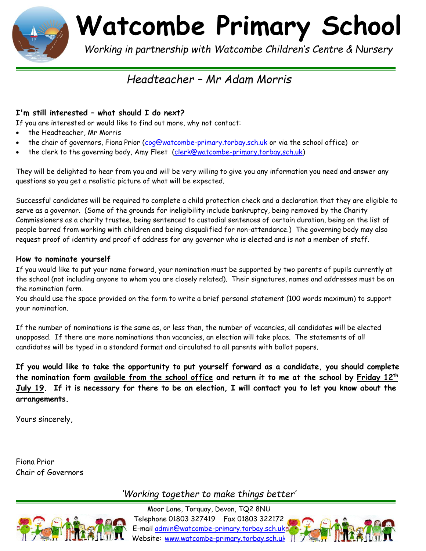

**Watcombe Primary School**

 *Working in partnership with Watcombe Children's Centre & Nursery*

# *Headteacher – Mr Adam Morris*

## **I'm still interested – what should I do next?**

If you are interested or would like to find out more, why not contact:

- the Headteacher, Mr Morris
- the chair of governors, Fiona Prior [\(cog@watcombe-primary.torbay.sch.uk](mailto:cog@watcombe-primary.torbay.sch.uk) or via the school office) or
- the clerk to the governing body, Amy Fleet [\(clerk@watcombe-primary.torbay.sch.uk\)](mailto:clerk@watcombe-primary.torbay.sch.uk)

They will be delighted to hear from you and will be very willing to give you any information you need and answer any questions so you get a realistic picture of what will be expected.

Successful candidates will be required to complete a child protection check and a declaration that they are eligible to serve as a governor. (Some of the grounds for ineligibility include bankruptcy, being removed by the Charity Commissioners as a charity trustee, being sentenced to custodial sentences of certain duration, being on the list of people barred from working with children and being disqualified for non-attendance.) The governing body may also request proof of identity and proof of address for any governor who is elected and is not a member of staff.

#### **How to nominate yourself**

If you would like to put your name forward, your nomination must be supported by two parents of pupils currently at the school (not including anyone to whom you are closely related). Their signatures, names and addresses must be on the nomination form.

You should use the space provided on the form to write a brief personal statement (100 words maximum) to support your nomination.

If the number of nominations is the same as, or less than, the number of vacancies, all candidates will be elected unopposed. If there are more nominations than vacancies, an election will take place. The statements of all candidates will be typed in a standard format and circulated to all parents with ballot papers.

**If you would like to take the opportunity to put yourself forward as a candidate, you should complete the nomination form available from the school office and return it to me at the school by Friday 12 th July 19. If it is necessary for there to be an election, I will contact you to let you know about the arrangements.** 

Yours sincerely,

Fiona Prior Chair of Governors

*'Working together to make things better'*



Moor Lane, Torquay, Devon, TQ2 8NU Telephone 01803 327419 Fax 01803 322172 E-mail [admin@watcombe-primary.torbay.sch.uk](mailto:admin@watcombe-primary.torbay.sch.uk)  Website: [www.watcombe-primary.torbay.sch.uk](http://www.watcombe-primary.torbay.sch.uk/)